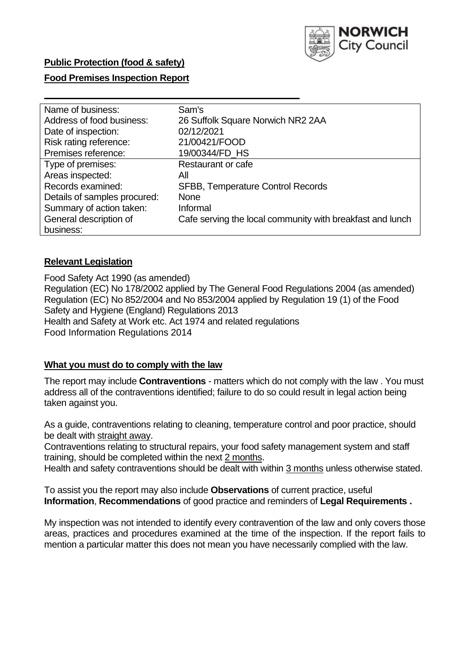

### **Public Protection (food & safety)**

### **Food Premises Inspection Report**

| Name of business:            | Sam's                                                     |
|------------------------------|-----------------------------------------------------------|
| Address of food business:    | 26 Suffolk Square Norwich NR2 2AA                         |
| Date of inspection:          | 02/12/2021                                                |
| Risk rating reference:       | 21/00421/FOOD                                             |
| Premises reference:          | 19/00344/FD HS                                            |
| Type of premises:            | Restaurant or cafe                                        |
| Areas inspected:             | All                                                       |
| Records examined:            | <b>SFBB, Temperature Control Records</b>                  |
| Details of samples procured: | <b>None</b>                                               |
| Summary of action taken:     | Informal                                                  |
| General description of       | Cafe serving the local community with breakfast and lunch |
| business:                    |                                                           |

### **Relevant Legislation**

 Food Safety Act 1990 (as amended) Regulation (EC) No 178/2002 applied by The General Food Regulations 2004 (as amended) Regulation (EC) No 852/2004 and No 853/2004 applied by Regulation 19 (1) of the Food Safety and Hygiene (England) Regulations 2013 Health and Safety at Work etc. Act 1974 and related regulations Food Information Regulations 2014

### **What you must do to comply with the law**

 The report may include **Contraventions** - matters which do not comply with the law . You must address all of the contraventions identified; failure to do so could result in legal action being taken against you.

 As a guide, contraventions relating to cleaning, temperature control and poor practice, should be dealt with straight away.

 Contraventions relating to structural repairs, your food safety management system and staff training, should be completed within the next 2 months.

Health and safety contraventions should be dealt with within 3 months unless otherwise stated.

 To assist you the report may also include **Observations** of current practice, useful **Information**, **Recommendations** of good practice and reminders of **Legal Requirements .** 

 My inspection was not intended to identify every contravention of the law and only covers those areas, practices and procedures examined at the time of the inspection. If the report fails to mention a particular matter this does not mean you have necessarily complied with the law.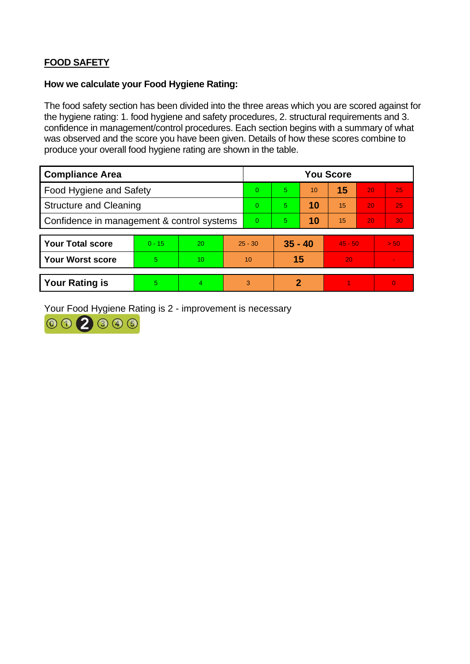# **FOOD SAFETY**

#### **How we calculate your Food Hygiene Rating:**

 The food safety section has been divided into the three areas which you are scored against for the hygiene rating: 1. food hygiene and safety procedures, 2. structural requirements and 3. confidence in management/control procedures. Each section begins with a summary of what was observed and the score you have been given. Details of how these scores combine to produce your overall food hygiene rating are shown in the table.

| <b>Compliance Area</b>                     |          |                  |  | <b>You Score</b> |                            |    |           |    |                |  |  |
|--------------------------------------------|----------|------------------|--|------------------|----------------------------|----|-----------|----|----------------|--|--|
| Food Hygiene and Safety                    |          |                  |  | 0                | 5                          | 10 | 15        | 20 | 25             |  |  |
| <b>Structure and Cleaning</b>              |          |                  |  | 0                | 5                          | 10 | 15        | 20 | 25             |  |  |
| Confidence in management & control systems |          |                  |  | 0                | 5                          | 10 | 15        | 20 | 30             |  |  |
|                                            |          |                  |  |                  |                            |    |           |    |                |  |  |
| <b>Your Total score</b>                    | $0 - 15$ | 20               |  | $25 - 30$        | $35 - 40$                  |    | $45 - 50$ |    | > 50           |  |  |
| <b>Your Worst score</b>                    | 5        | 10 <sup>10</sup> |  | 10               | 15                         |    | 20        |    | $\blacksquare$ |  |  |
|                                            |          |                  |  |                  |                            |    |           |    |                |  |  |
| <b>Your Rating is</b>                      | 5        | 4                |  | 3                | $\boldsymbol{\mathcal{P}}$ |    |           |    | $\overline{0}$ |  |  |

Your Food Hygiene Rating is 2 - improvement is necessary

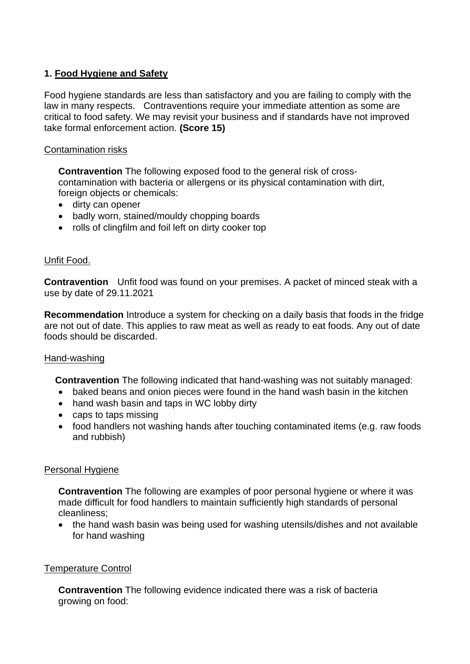# **1. Food Hygiene and Safety**

 law in many respects. Contraventions require your immediate attention as some are Food hygiene standards are less than satisfactory and you are failing to comply with the critical to food safety. We may revisit your business and if standards have not improved take formal enforcement action. **(Score 15)** 

## Contamination risks

 **Contravention** The following exposed food to the general risk of crosscontamination with bacteria or allergens or its physical contamination with dirt, foreign objects or chemicals:

- dirty can opener
- badly worn, stained/mouldy chopping boards
- rolls of clingfilm and foil left on dirty cooker top

### Unfit Food.

**Contravention** Unfit food was found on your premises. A packet of minced steak with a use by date of 29.11.2021

**Recommendation** Introduce a system for checking on a daily basis that foods in the fridge are not out of date. This applies to raw meat as well as ready to eat foods. Any out of date foods should be discarded.

### Hand-washing

**Contravention** The following indicated that hand-washing was not suitably managed:

- baked beans and onion pieces were found in the hand wash basin in the kitchen
- hand wash basin and taps in WC lobby dirty
- caps to taps missing
- food handlers not washing hands after touching contaminated items (e.g. raw foods and rubbish)

### Personal Hygiene

 made difficult for food handlers to maintain sufficiently high standards of personal **Contravention** The following are examples of poor personal hygiene or where it was cleanliness;

• the hand wash basin was being used for washing utensils/dishes and not available for hand washing

### Temperature Control

 **Contravention** The following evidence indicated there was a risk of bacteria growing on food: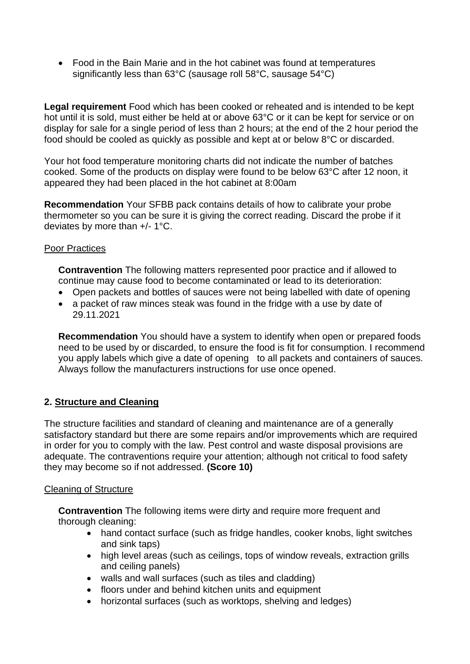significantly less than 63°C (sausage roll 58°C, sausage 54°C) • Food in the Bain Marie and in the hot cabinet was found at temperatures

 **Legal requirement** Food which has been cooked or reheated and is intended to be kept hot until it is sold, must either be held at or above 63°C or it can be kept for service or on display for sale for a single period of less than 2 hours; at the end of the 2 hour period the food should be cooled as quickly as possible and kept at or below 8°C or discarded.

 cooked. Some of the products on display were found to be below 63°C after 12 noon, it Your hot food temperature monitoring charts did not indicate the number of batches appeared they had been placed in the hot cabinet at 8:00am

**Recommendation** Your SFBB pack contains details of how to calibrate your probe thermometer so you can be sure it is giving the correct reading. Discard the probe if it deviates by more than +/- 1°C.

## Poor Practices

 **Contravention** The following matters represented poor practice and if allowed to continue may cause food to become contaminated or lead to its deterioration:

- Open packets and bottles of sauces were not being labelled with date of opening
- • a packet of raw minces steak was found in the fridge with a use by date of 29.11.2021

 you apply labels which give a date of opening to all packets and containers of sauces. **Recommendation** You should have a system to identify when open or prepared foods need to be used by or discarded, to ensure the food is fit for consumption. I recommend Always follow the manufacturers instructions for use once opened.

# **2. Structure and Cleaning**

The structure facilities and standard of cleaning and maintenance are of a generally satisfactory standard but there are some repairs and/or improvements which are required in order for you to comply with the law. Pest control and waste disposal provisions are adequate. The contraventions require your attention; although not critical to food safety they may become so if not addressed. **(Score 10)** 

### Cleaning of Structure

**Contravention** The following items were dirty and require more frequent and thorough cleaning:

- hand contact surface (such as fridge handles, cooker knobs, light switches and sink taps)
- high level areas (such as ceilings, tops of window reveals, extraction grills and ceiling panels)
- walls and wall surfaces (such as tiles and cladding)
- floors under and behind kitchen units and equipment
- horizontal surfaces (such as worktops, shelving and ledges)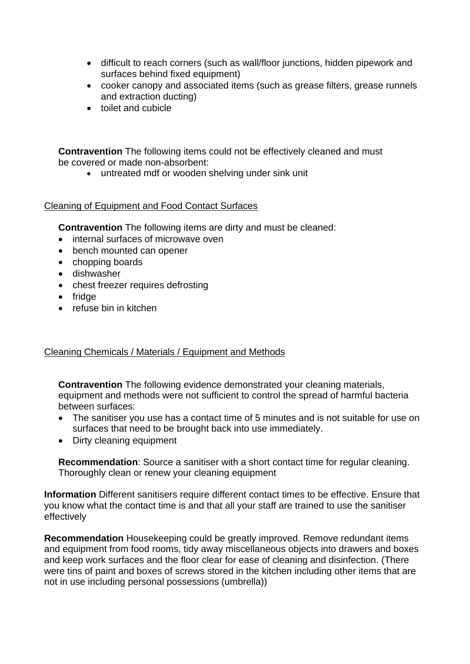- difficult to reach corners (such as wall/floor junctions, hidden pipework and surfaces behind fixed equipment)
- cooker canopy and associated items (such as grease filters, grease runnels and extraction ducting)
- toilet and cubicle

 **Contravention** The following items could not be effectively cleaned and must be covered or made non-absorbent:

• untreated mdf or wooden shelving under sink unit

## Cleaning of Equipment and Food Contact Surfaces

**Contravention** The following items are dirty and must be cleaned:

- internal surfaces of microwave oven
- bench mounted can opener
- chopping boards
- dishwasher
- chest freezer requires defrosting
- fridge
- refuse bin in kitchen

# Cleaning Chemicals / Materials / Equipment and Methods

**Contravention** The following evidence demonstrated your cleaning materials, equipment and methods were not sufficient to control the spread of harmful bacteria between surfaces:

- surfaces that need to be brought back into use immediately. • The sanitiser you use has a contact time of 5 minutes and is not suitable for use on
- Dirty cleaning equipment

 **Recommendation**: Source a sanitiser with a short contact time for regular cleaning. Thoroughly clean or renew your cleaning equipment

**Information** Different sanitisers require different contact times to be effective. Ensure that you know what the contact time is and that all your staff are trained to use the sanitiser effectively

 were tins of paint and boxes of screws stored in the kitchen including other items that are **Recommendation** Housekeeping could be greatly improved. Remove redundant items and equipment from food rooms, tidy away miscellaneous objects into drawers and boxes and keep work surfaces and the floor clear for ease of cleaning and disinfection. (There not in use including personal possessions (umbrella))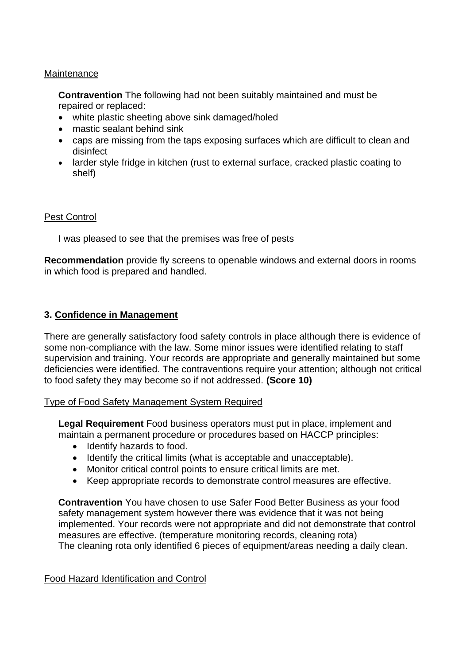### **Maintenance**

**Contravention** The following had not been suitably maintained and must be repaired or replaced:

- white plastic sheeting above sink damaged/holed
- mastic sealant behind sink
- • caps are missing from the taps exposing surfaces which are difficult to clean and disinfect
- larder style fridge in kitchen (rust to external surface, cracked plastic coating to shelf)

#### Pest Control

I was pleased to see that the premises was free of pests

**Recommendation** provide fly screens to openable windows and external doors in rooms in which food is prepared and handled.

### **3. Confidence in Management**

 There are generally satisfactory food safety controls in place although there is evidence of supervision and training. Your records are appropriate and generally maintained but some some non-compliance with the law. Some minor issues were identified relating to staff deficiencies were identified. The contraventions require your attention; although not critical to food safety they may become so if not addressed. **(Score 10)** 

### Type of Food Safety Management System Required

 maintain a permanent procedure or procedures based on HACCP principles: **Legal Requirement** Food business operators must put in place, implement and

- Identify hazards to food.
- Identify the critical limits (what is acceptable and unacceptable).
- Monitor critical control points to ensure critical limits are met.
- Keep appropriate records to demonstrate control measures are effective.

 **Contravention** You have chosen to use Safer Food Better Business as your food safety management system however there was evidence that it was not being implemented. Your records were not appropriate and did not demonstrate that control measures are effective. (temperature monitoring records, cleaning rota) The cleaning rota only identified 6 pieces of equipment/areas needing a daily clean.

### Food Hazard Identification and Control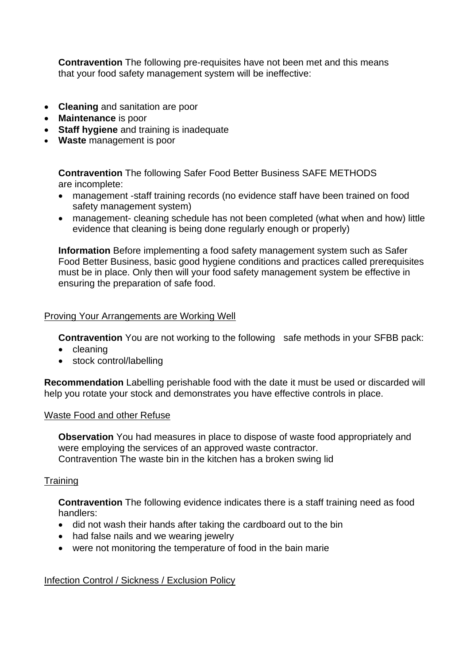**Contravention** The following pre-requisites have not been met and this means that your food safety management system will be ineffective:

- **Cleaning** and sanitation are poor
- **Maintenance** is poor
- **Staff hygiene** and training is inadequate
- **Waste** management is poor

**Contravention** The following Safer Food Better Business SAFE METHODS are incomplete:

- • management -staff training records (no evidence staff have been trained on food safety management system)
- • management- cleaning schedule has not been completed (what when and how) little evidence that cleaning is being done regularly enough or properly)

**Information** Before implementing a food safety management system such as Safer Food Better Business, basic good hygiene conditions and practices called prerequisites must be in place. Only then will your food safety management system be effective in ensuring the preparation of safe food.

#### Proving Your Arrangements are Working Well

**Contravention** You are not working to the following safe methods in your SFBB pack:

- cleaning
- stock control/labelling

**Recommendation** Labelling perishable food with the date it must be used or discarded will help you rotate your stock and demonstrates you have effective controls in place.

#### Waste Food and other Refuse

 **Observation** You had measures in place to dispose of waste food appropriately and Contravention The waste bin in the kitchen has a broken swing lid were employing the services of an approved waste contractor.

### **Training**

 **Contravention** The following evidence indicates there is a staff training need as food handlers:

- did not wash their hands after taking the cardboard out to the bin
- had false nails and we wearing jewelry
- were not monitoring the temperature of food in the bain marie

### Infection Control / Sickness / Exclusion Policy